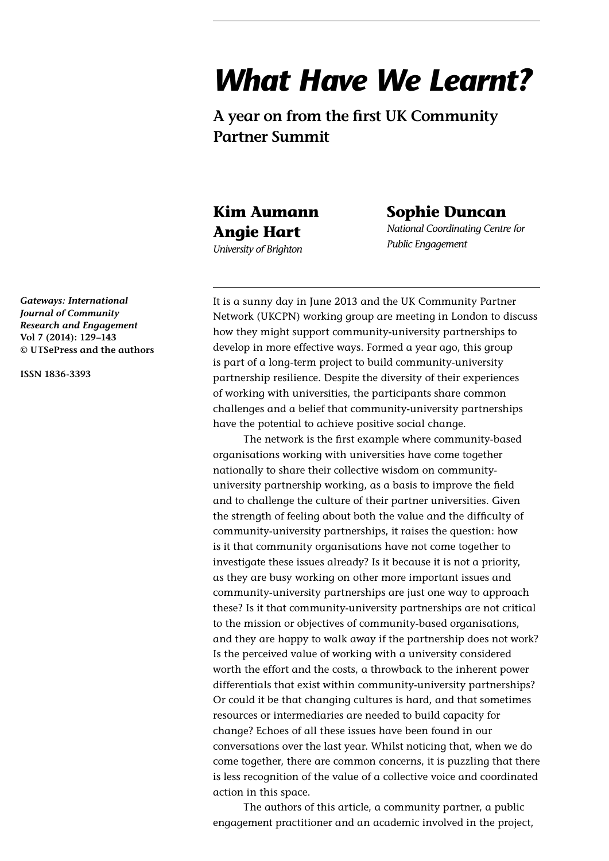# *What Have We Learnt?*

**A year on from the first UK Community Partner Summit**

# **Kim Aumann Angie Hart**

*University of Brighton*

# **Sophie Duncan**

*National Coordinating Centre for Public Engagement*

It is a sunny day in June 2013 and the UK Community Partner Network (UKCPN) working group are meeting in London to discuss how they might support community-university partnerships to develop in more effective ways. Formed a year ago, this group is part of a long-term project to build community-university partnership resilience. Despite the diversity of their experiences of working with universities, the participants share common challenges and a belief that community-university partnerships have the potential to achieve positive social change.

The network is the first example where community-based organisations working with universities have come together nationally to share their collective wisdom on communityuniversity partnership working, as a basis to improve the field and to challenge the culture of their partner universities. Given the strength of feeling about both the value and the difficulty of community-university partnerships, it raises the question: how is it that community organisations have not come together to investigate these issues already? Is it because it is not a priority, as they are busy working on other more important issues and community-university partnerships are just one way to approach these? Is it that community-university partnerships are not critical to the mission or objectives of community-based organisations, and they are happy to walk away if the partnership does not work? Is the perceived value of working with a university considered worth the effort and the costs, a throwback to the inherent power differentials that exist within community-university partnerships? Or could it be that changing cultures is hard, and that sometimes resources or intermediaries are needed to build capacity for change? Echoes of all these issues have been found in our conversations over the last year. Whilst noticing that, when we do come together, there are common concerns, it is puzzling that there is less recognition of the value of a collective voice and coordinated action in this space.

The authors of this article, a community partner, a public engagement practitioner and an academic involved in the project,

*Gateways: International Journal of Community Research and Engagement* **Vol 7 (2014): 129–143 © UTSePress and the authors**

**ISSN 1836-3393**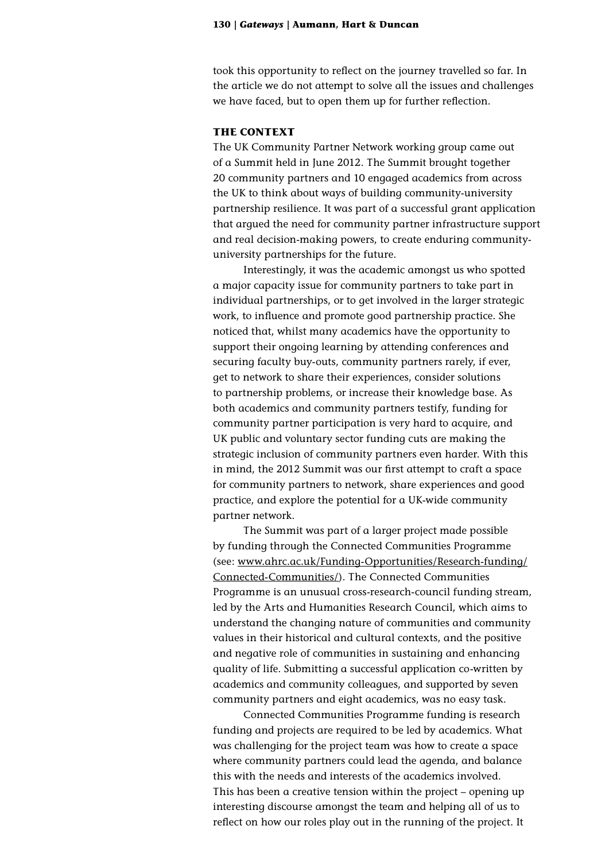took this opportunity to reflect on the journey travelled so far. In the article we do not attempt to solve all the issues and challenges we have faced, but to open them up for further reflection.

# **THE CONTEXT**

The UK Community Partner Network working group came out of a Summit held in June 2012. The Summit brought together 20 community partners and 10 engaged academics from across the UK to think about ways of building community-university partnership resilience. It was part of a successful grant application that argued the need for community partner infrastructure support and real decision-making powers, to create enduring communityuniversity partnerships for the future.

Interestingly, it was the academic amongst us who spotted a major capacity issue for community partners to take part in individual partnerships, or to get involved in the larger strategic work, to influence and promote good partnership practice. She noticed that, whilst many academics have the opportunity to support their ongoing learning by attending conferences and securing faculty buy-outs, community partners rarely, if ever, get to network to share their experiences, consider solutions to partnership problems, or increase their knowledge base. As both academics and community partners testify, funding for community partner participation is very hard to acquire, and UK public and voluntary sector funding cuts are making the strategic inclusion of community partners even harder. With this in mind, the 2012 Summit was our first attempt to craft a space for community partners to network, share experiences and good practice, and explore the potential for a UK-wide community partner network.

The Summit was part of a larger project made possible by funding through the Connected Communities Programme (see: www.ahrc.ac.uk/Funding-Opportunities/Research-funding/ Connected-Communities/). The Connected Communities Programme is an unusual cross-research-council funding stream, led by the Arts and Humanities Research Council, which aims to understand the changing nature of communities and community values in their historical and cultural contexts, and the positive and negative role of communities in sustaining and enhancing quality of life. Submitting a successful application co-written by academics and community colleagues, and supported by seven community partners and eight academics, was no easy task.

Connected Communities Programme funding is research funding and projects are required to be led by academics. What was challenging for the project team was how to create a space where community partners could lead the agenda, and balance this with the needs and interests of the academics involved. This has been a creative tension within the project – opening up interesting discourse amongst the team and helping all of us to reflect on how our roles play out in the running of the project. It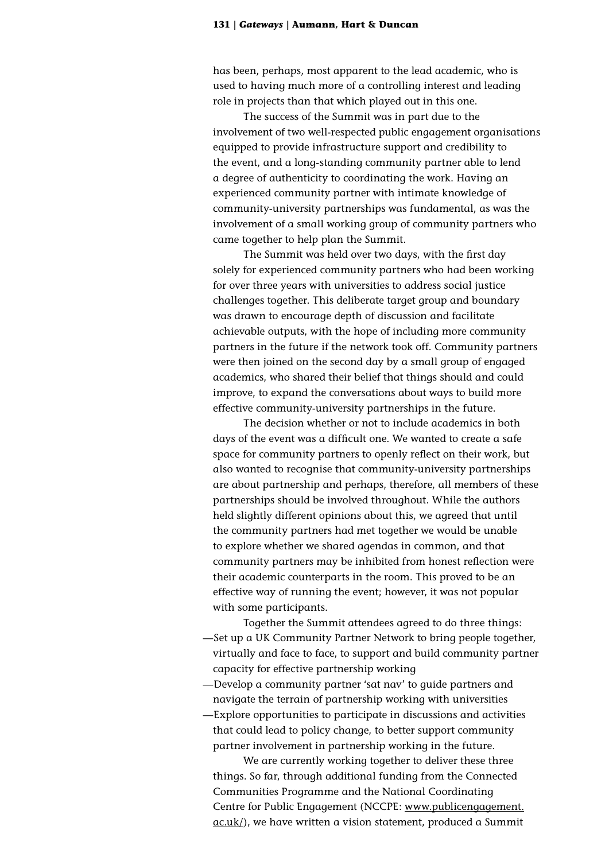has been, perhaps, most apparent to the lead academic, who is used to having much more of a controlling interest and leading role in projects than that which played out in this one.

The success of the Summit was in part due to the involvement of two well-respected public engagement organisations equipped to provide infrastructure support and credibility to the event, and a long-standing community partner able to lend a degree of authenticity to coordinating the work. Having an experienced community partner with intimate knowledge of community-university partnerships was fundamental, as was the involvement of a small working group of community partners who came together to help plan the Summit.

The Summit was held over two days, with the first day solely for experienced community partners who had been working for over three years with universities to address social justice challenges together. This deliberate target group and boundary was drawn to encourage depth of discussion and facilitate achievable outputs, with the hope of including more community partners in the future if the network took off. Community partners were then joined on the second day by a small group of engaged academics, who shared their belief that things should and could improve, to expand the conversations about ways to build more effective community-university partnerships in the future.

The decision whether or not to include academics in both days of the event was a difficult one. We wanted to create a safe space for community partners to openly reflect on their work, but also wanted to recognise that community-university partnerships are about partnership and perhaps, therefore, all members of these partnerships should be involved throughout. While the authors held slightly different opinions about this, we agreed that until the community partners had met together we would be unable to explore whether we shared agendas in common, and that community partners may be inhibited from honest reflection were their academic counterparts in the room. This proved to be an effective way of running the event; however, it was not popular with some participants.

Together the Summit attendees agreed to do three things: —Set up a UK Community Partner Network to bring people together, virtually and face to face, to support and build community partner capacity for effective partnership working

—Develop a community partner 'sat nav' to guide partners and navigate the terrain of partnership working with universities

—Explore opportunities to participate in discussions and activities that could lead to policy change, to better support community partner involvement in partnership working in the future.

We are currently working together to deliver these three things. So far, through additional funding from the Connected Communities Programme and the National Coordinating Centre for Public Engagement (NCCPE: [www.publicengagement.](file:///C:\Users\kca10.UNIVERSITY\AppData\Local\Microsoft\Windows\Temporary%20Internet%20Files\Content.IE5\8J2KV531\www.publicengagement.ac.uk\) [ac.uk/](file:///C:\Users\kca10.UNIVERSITY\AppData\Local\Microsoft\Windows\Temporary%20Internet%20Files\Content.IE5\8J2KV531\www.publicengagement.ac.uk\)), we have written a vision statement, produced a Summit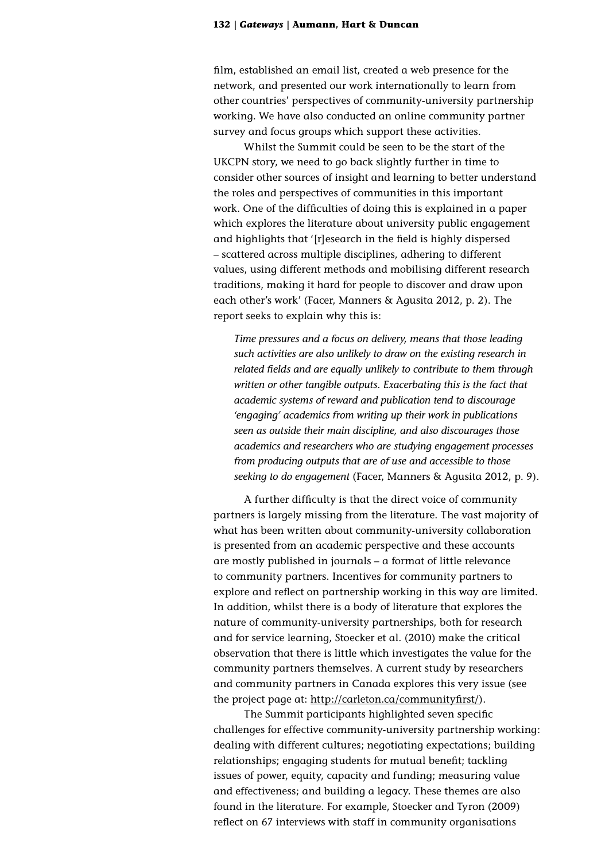film, established an email list, created a web presence for the network, and presented our work internationally to learn from other countries' perspectives of community-university partnership working. We have also conducted an online community partner survey and focus groups which support these activities.

Whilst the Summit could be seen to be the start of the UKCPN story, we need to go back slightly further in time to consider other sources of insight and learning to better understand the roles and perspectives of communities in this important work. One of the difficulties of doing this is explained in a paper which explores the literature about university public engagement and highlights that '[r]esearch in the field is highly dispersed – scattered across multiple disciplines, adhering to different values, using different methods and mobilising different research traditions, making it hard for people to discover and draw upon each other's work' (Facer, Manners & Agusita 2012, p. 2). The report seeks to explain why this is:

*Time pressures and a focus on delivery, means that those leading such activities are also unlikely to draw on the existing research in related fields and are equally unlikely to contribute to them through written or other tangible outputs. Exacerbating this is the fact that academic systems of reward and publication tend to discourage 'engaging' academics from writing up their work in publications seen as outside their main discipline, and also discourages those academics and researchers who are studying engagement processes from producing outputs that are of use and accessible to those seeking to do engagement* (Facer, Manners & Agusita 2012, p. 9)*.*

A further difficulty is that the direct voice of community partners is largely missing from the literature. The vast majority of what has been written about community-university collaboration is presented from an academic perspective and these accounts are mostly published in journals – a format of little relevance to community partners. Incentives for community partners to explore and reflect on partnership working in this way are limited. In addition, whilst there is a body of literature that explores the nature of community-university partnerships, both for research and for service learning, Stoecker et al. (2010) make the critical observation that there is little which investigates the value for the community partners themselves. A current study by researchers and community partners in Canada explores this very issue (see the project page at: [http://carleton.ca/communityfirst/\)](http://carleton.ca/communityfirst/).

The Summit participants highlighted seven specific challenges for effective community-university partnership working: dealing with different cultures; negotiating expectations; building relationships; engaging students for mutual benefit; tackling issues of power, equity, capacity and funding; measuring value and effectiveness; and building a legacy. These themes are also found in the literature. For example, Stoecker and Tyron (2009) reflect on 67 interviews with staff in community organisations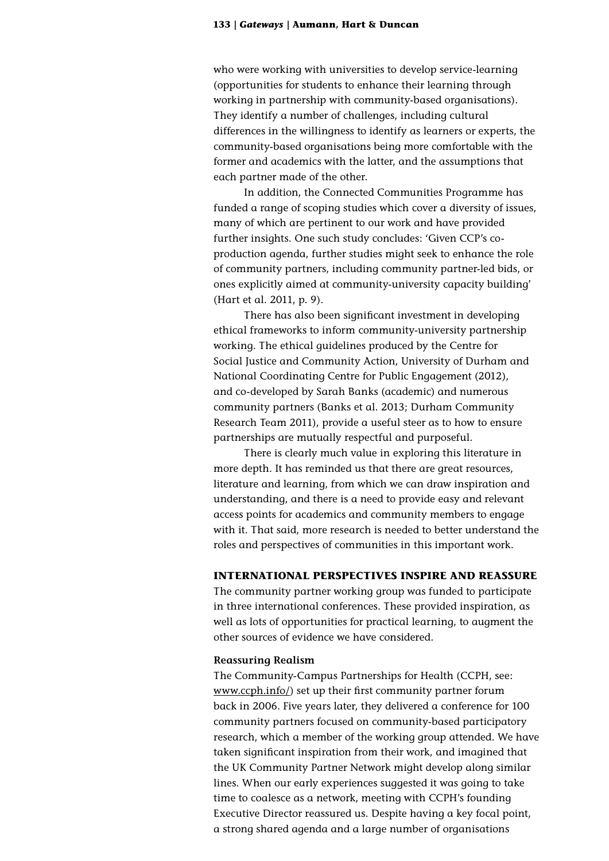who were working with universities to develop service-learning (opportunities for students to enhance their learning through working in partnership with community-based organisations). They identify a number of challenges, including cultural differences in the willingness to identify as learners or experts, the community-based organisations being more comfortable with the former and academics with the latter, and the assumptions that each partner made of the other.

In addition, the Connected Communities Programme has funded a range of scoping studies which cover a diversity of issues, many of which are pertinent to our work and have provided further insights. One such study concludes: 'Given CCP's coproduction agenda, further studies might seek to enhance the role of community partners, including community partner-led bids, or ones explicitly aimed at community-university capacity building' (Hart et al. 2011, p. 9).

There has also been significant investment in developing ethical frameworks to inform community-university partnership working. The ethical guidelines produced by the Centre for Social Justice and Community Action, University of Durham and National Coordinating Centre for Public Engagement (2012), and co-developed by Sarah Banks (academic) and numerous community partners (Banks et al. 2013; Durham Community Research Team 2011), provide a useful steer as to how to ensure partnerships are mutually respectful and purposeful.

There is clearly much value in exploring this literature in more depth. It has reminded us that there are great resources, literature and learning, from which we can draw inspiration and understanding, and there is a need to provide easy and relevant access points for academics and community members to engage with it. That said, more research is needed to better understand the roles and perspectives of communities in this important work.

# **INTERNATIONAL PERSPECTIVES INSPIRE AND REASSURE**

The community partner working group was funded to participate in three international conferences. These provided inspiration, as well as lots of opportunities for practical learning, to augment the other sources of evidence we have considered.

### **Reassuring Realism**

The Community-Campus Partnerships for Health (CCPH, see: [www.ccph.info/\)](file:///C:\Users\kca10.UNIVERSITY\AppData\Local\Microsoft\Windows\Temporary%20Internet%20Files\Content.IE5\8J2KV531\www.ccph.info\) set up their first community partner forum back in 2006. Five years later, they delivered a conference for 100 community partners focused on community-based participatory research, which a member of the working group attended. We have taken significant inspiration from their work, and imagined that the UK Community Partner Network might develop along similar lines. When our early experiences suggested it was going to take time to coalesce as a network, meeting with CCPH's founding Executive Director reassured us. Despite having a key focal point, a strong shared agenda and a large number of organisations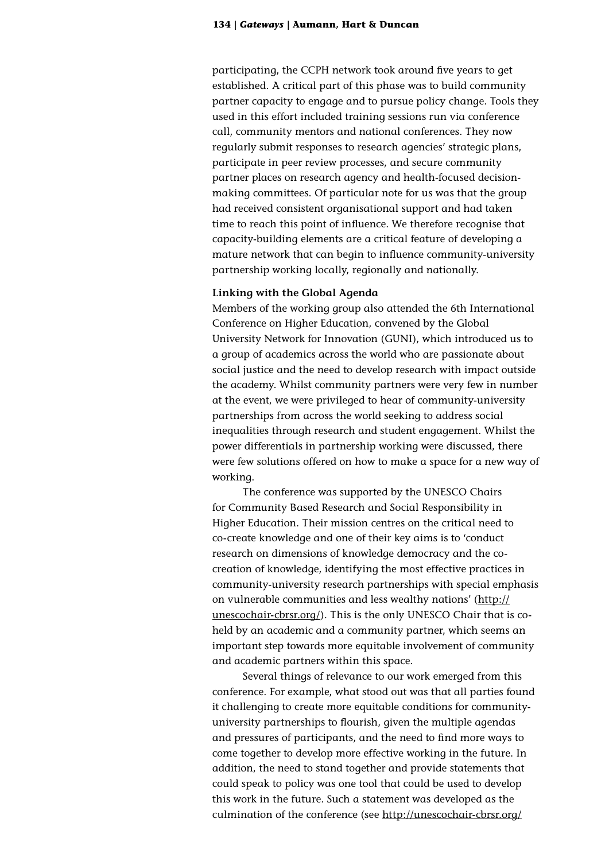participating, the CCPH network took around five years to get established. A critical part of this phase was to build community partner capacity to engage and to pursue policy change. Tools they used in this effort included training sessions run via conference call, community mentors and national conferences. They now regularly submit responses to research agencies' strategic plans, participate in peer review processes, and secure community partner places on research agency and health-focused decisionmaking committees. Of particular note for us was that the group had received consistent organisational support and had taken time to reach this point of influence. We therefore recognise that capacity-building elements are a critical feature of developing a mature network that can begin to influence community-university partnership working locally, regionally and nationally.

## **Linking with the Global Agenda**

Members of the working group also attended the 6th International Conference on Higher Education, convened by the Global University Network for Innovation (GUNI), which introduced us to a group of academics across the world who are passionate about social justice and the need to develop research with impact outside the academy. Whilst community partners were very few in number at the event, we were privileged to hear of community-university partnerships from across the world seeking to address social inequalities through research and student engagement. Whilst the power differentials in partnership working were discussed, there were few solutions offered on how to make a space for a new way of working.

The conference was supported by the UNESCO Chairs for Community Based Research and Social Responsibility in Higher Education. Their mission centres on the critical need to co-create knowledge and one of their key aims is to 'conduct research on dimensions of knowledge democracy and the cocreation of knowledge, identifying the most effective practices in community-university research partnerships with special emphasis on vulnerable communities and less wealthy nations' [\(http://](http://unescochair-cbrsr.org/) [unescochair-cbrsr.org/](http://unescochair-cbrsr.org/)). This is the only UNESCO Chair that is coheld by an academic and a community partner, which seems an important step towards more equitable involvement of community and academic partners within this space.

Several things of relevance to our work emerged from this conference. For example, what stood out was that all parties found it challenging to create more equitable conditions for communityuniversity partnerships to flourish, given the multiple agendas and pressures of participants, and the need to find more ways to come together to develop more effective working in the future. In addition, the need to stand together and provide statements that could speak to policy was one tool that could be used to develop this work in the future. Such a statement was developed as the culmination of the conference (see [http://unescochair-cbrsr.org/](http://unescochair-cbrsr.org/pdf/resource/GDIII-Final-May_20.pdf)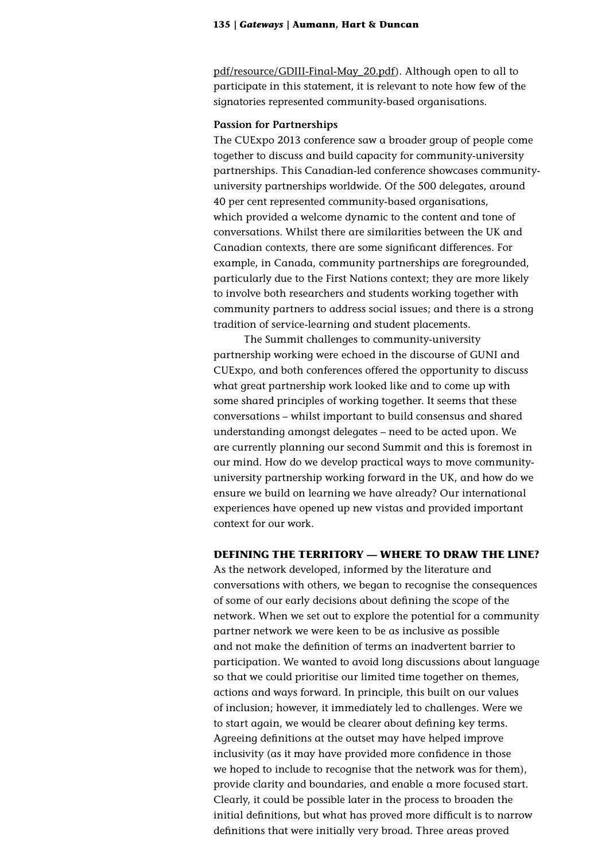[pdf/resource/GDIII-Final-May\\_20.pdf](http://unescochair-cbrsr.org/pdf/resource/GDIII-Final-May_20.pdf)). Although open to all to participate in this statement, it is relevant to note how few of the signatories represented community-based organisations.

#### **Passion for Partnerships**

The CUExpo 2013 conference saw a broader group of people come together to discuss and build capacity for community-university partnerships. This Canadian-led conference showcases communityuniversity partnerships worldwide. Of the 500 delegates, around 40 per cent represented community-based organisations, which provided a welcome dynamic to the content and tone of conversations. Whilst there are similarities between the UK and Canadian contexts, there are some significant differences. For example, in Canada, community partnerships are foregrounded, particularly due to the First Nations context; they are more likely to involve both researchers and students working together with community partners to address social issues; and there is a strong tradition of service-learning and student placements.

The Summit challenges to community-university partnership working were echoed in the discourse of GUNI and CUExpo, and both conferences offered the opportunity to discuss what great partnership work looked like and to come up with some shared principles of working together. It seems that these conversations – whilst important to build consensus and shared understanding amongst delegates – need to be acted upon. We are currently planning our second Summit and this is foremost in our mind. How do we develop practical ways to move communityuniversity partnership working forward in the UK, and how do we ensure we build on learning we have already? Our international experiences have opened up new vistas and provided important context for our work.

# **DEFINING THE TERRITORY — WHERE TO DRAW THE LINE?**

As the network developed, informed by the literature and conversations with others, we began to recognise the consequences of some of our early decisions about defining the scope of the network. When we set out to explore the potential for a community partner network we were keen to be as inclusive as possible and not make the definition of terms an inadvertent barrier to participation. We wanted to avoid long discussions about language so that we could prioritise our limited time together on themes, actions and ways forward. In principle, this built on our values of inclusion; however, it immediately led to challenges. Were we to start again, we would be clearer about defining key terms. Agreeing definitions at the outset may have helped improve inclusivity (as it may have provided more confidence in those we hoped to include to recognise that the network was for them), provide clarity and boundaries, and enable a more focused start. Clearly, it could be possible later in the process to broaden the initial definitions, but what has proved more difficult is to narrow definitions that were initially very broad. Three areas proved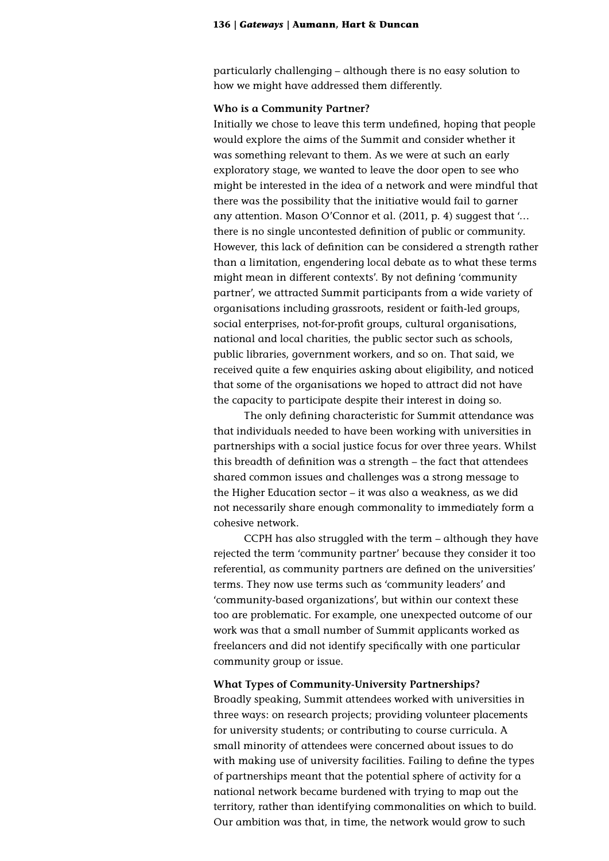particularly challenging – although there is no easy solution to how we might have addressed them differently.

#### **Who is a Community Partner?**

Initially we chose to leave this term undefined, hoping that people would explore the aims of the Summit and consider whether it was something relevant to them. As we were at such an early exploratory stage, we wanted to leave the door open to see who might be interested in the idea of a network and were mindful that there was the possibility that the initiative would fail to garner any attention. Mason O'Connor et al. (2011, p. 4) suggest that '… there is no single uncontested definition of public or community. However, this lack of definition can be considered a strength rather than a limitation, engendering local debate as to what these terms might mean in different contexts'. By not defining 'community partner', we attracted Summit participants from a wide variety of organisations including grassroots, resident or faith-led groups, social enterprises, not-for-profit groups, cultural organisations, national and local charities, the public sector such as schools, public libraries, government workers, and so on. That said, we received quite a few enquiries asking about eligibility, and noticed that some of the organisations we hoped to attract did not have the capacity to participate despite their interest in doing so.

The only defining characteristic for Summit attendance was that individuals needed to have been working with universities in partnerships with a social justice focus for over three years. Whilst this breadth of definition was a strength – the fact that attendees shared common issues and challenges was a strong message to the Higher Education sector – it was also a weakness, as we did not necessarily share enough commonality to immediately form a cohesive network.

CCPH has also struggled with the term – although they have rejected the term 'community partner' because they consider it too referential, as community partners are defined on the universities' terms. They now use terms such as 'community leaders' and 'community-based organizations', but within our context these too are problematic. For example, one unexpected outcome of our work was that a small number of Summit applicants worked as freelancers and did not identify specifically with one particular community group or issue.

#### **What Types of Community-University Partnerships?**

Broadly speaking, Summit attendees worked with universities in three ways: on research projects; providing volunteer placements for university students; or contributing to course curricula. A small minority of attendees were concerned about issues to do with making use of university facilities. Failing to define the types of partnerships meant that the potential sphere of activity for a national network became burdened with trying to map out the territory, rather than identifying commonalities on which to build. Our ambition was that, in time, the network would grow to such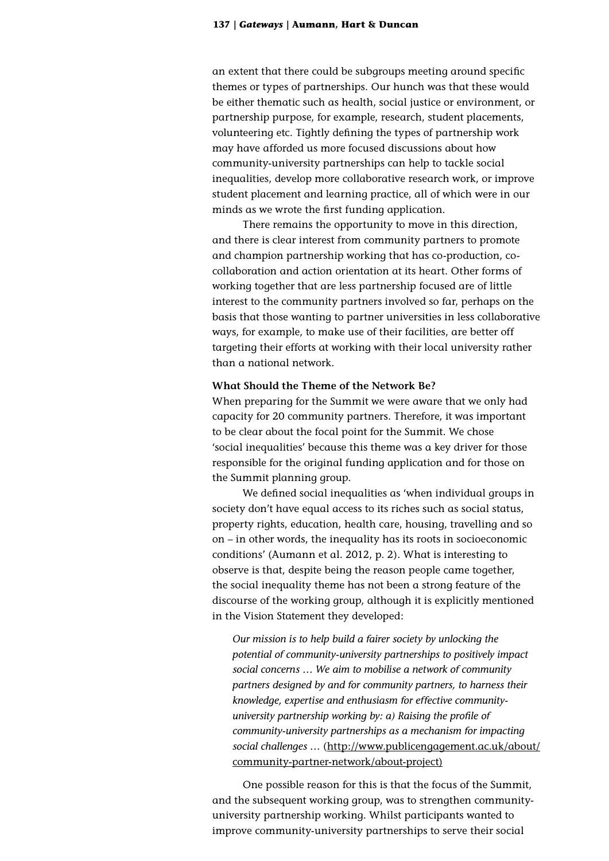an extent that there could be subgroups meeting around specific themes or types of partnerships. Our hunch was that these would be either thematic such as health, social justice or environment, or partnership purpose, for example, research, student placements, volunteering etc. Tightly defining the types of partnership work may have afforded us more focused discussions about how community-university partnerships can help to tackle social inequalities, develop more collaborative research work, or improve student placement and learning practice, all of which were in our minds as we wrote the first funding application.

There remains the opportunity to move in this direction, and there is clear interest from community partners to promote and champion partnership working that has co-production, cocollaboration and action orientation at its heart. Other forms of working together that are less partnership focused are of little interest to the community partners involved so far, perhaps on the basis that those wanting to partner universities in less collaborative ways, for example, to make use of their facilities, are better off targeting their efforts at working with their local university rather than a national network.

# **What Should the Theme of the Network Be?**

When preparing for the Summit we were aware that we only had capacity for 20 community partners. Therefore, it was important to be clear about the focal point for the Summit. We chose 'social inequalities' because this theme was a key driver for those responsible for the original funding application and for those on the Summit planning group.

We defined social inequalities as 'when individual groups in society don't have equal access to its riches such as social status, property rights, education, health care, housing, travelling and so on – in other words, the inequality has its roots in socioeconomic conditions' (Aumann et al. 2012, p. 2). What is interesting to observe is that, despite being the reason people came together, the social inequality theme has not been a strong feature of the discourse of the working group, although it is explicitly mentioned in the Vision Statement they developed:

*Our mission is to help build a fairer society by unlocking the potential of community-university partnerships to positively impact social concerns … We aim to mobilise a network of community partners designed by and for community partners, to harness their knowledge, expertise and enthusiasm for effective communityuniversity partnership working by: a) Raising the profile of community-university partnerships as a mechanism for impacting social challenges …* ([http://www.publicengagement.ac.uk/about/](http://www.publicengagement.ac.uk/about/community-partner-network/about-project) [community-partner-network/about-project](http://www.publicengagement.ac.uk/about/community-partner-network/about-project))

One possible reason for this is that the focus of the Summit, and the subsequent working group, was to strengthen communityuniversity partnership working. Whilst participants wanted to improve community-university partnerships to serve their social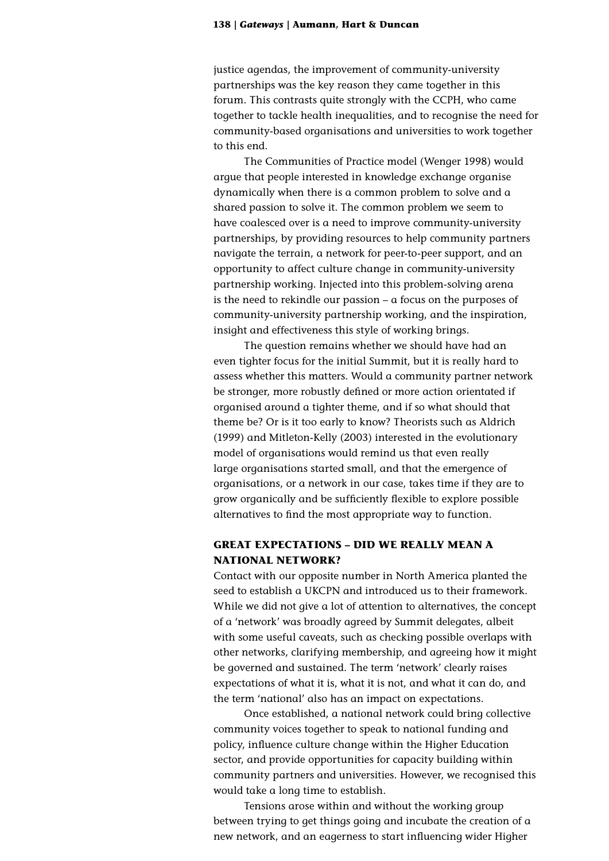justice agendas, the improvement of community-university partnerships was the key reason they came together in this forum. This contrasts quite strongly with the CCPH, who came together to tackle health inequalities, and to recognise the need for community-based organisations and universities to work together to this end.

The Communities of Practice model (Wenger 1998) would argue that people interested in knowledge exchange organise dynamically when there is a common problem to solve and a shared passion to solve it. The common problem we seem to have coalesced over is a need to improve community-university partnerships, by providing resources to help community partners navigate the terrain, a network for peer-to-peer support, and an opportunity to affect culture change in community-university partnership working. Injected into this problem-solving arena is the need to rekindle our passion – a focus on the purposes of community-university partnership working, and the inspiration, insight and effectiveness this style of working brings.

The question remains whether we should have had an even tighter focus for the initial Summit, but it is really hard to assess whether this matters. Would a community partner network be stronger, more robustly defined or more action orientated if organised around a tighter theme, and if so what should that theme be? Or is it too early to know? Theorists such as Aldrich (1999) and Mitleton-Kelly (2003) interested in the evolutionary model of organisations would remind us that even really large organisations started small, and that the emergence of organisations, or a network in our case, takes time if they are to grow organically and be sufficiently flexible to explore possible alternatives to find the most appropriate way to function.

# **GREAT EXPECTATIONS – DID WE REALLY MEAN A NATIONAL NETWORK?**

Contact with our opposite number in North America planted the seed to establish a UKCPN and introduced us to their framework. While we did not give a lot of attention to alternatives, the concept of a 'network' was broadly agreed by Summit delegates, albeit with some useful caveats, such as checking possible overlaps with other networks, clarifying membership, and agreeing how it might be governed and sustained. The term 'network' clearly raises expectations of what it is, what it is not, and what it can do, and the term 'national' also has an impact on expectations.

Once established, a national network could bring collective community voices together to speak to national funding and policy, influence culture change within the Higher Education sector, and provide opportunities for capacity building within community partners and universities. However, we recognised this would take a long time to establish.

Tensions arose within and without the working group between trying to get things going and incubate the creation of a new network, and an eagerness to start influencing wider Higher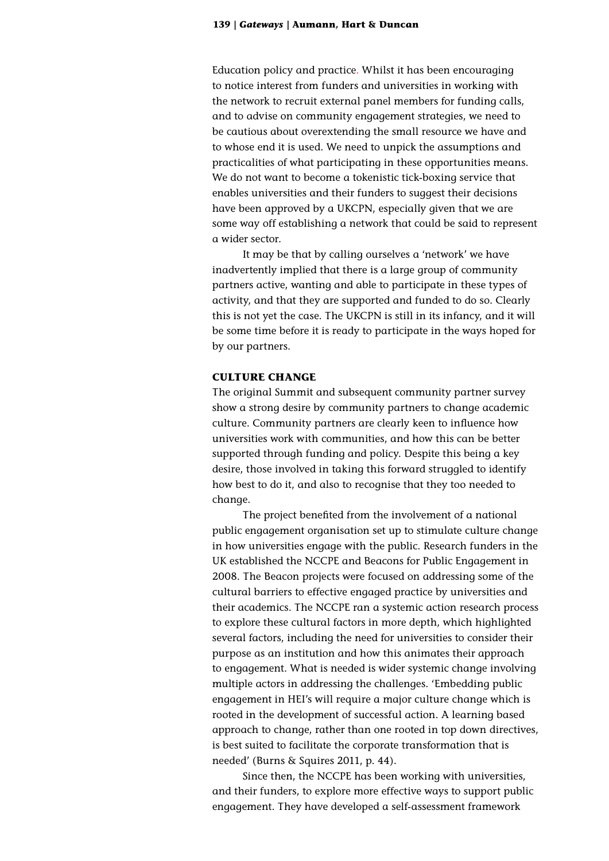Education policy and practice. Whilst it has been encouraging to notice interest from funders and universities in working with the network to recruit external panel members for funding calls, and to advise on community engagement strategies, we need to be cautious about overextending the small resource we have and to whose end it is used. We need to unpick the assumptions and practicalities of what participating in these opportunities means. We do not want to become a tokenistic tick-boxing service that enables universities and their funders to suggest their decisions have been approved by a UKCPN, especially given that we are some way off establishing a network that could be said to represent a wider sector.

It may be that by calling ourselves a 'network' we have inadvertently implied that there is a large group of community partners active, wanting and able to participate in these types of activity, and that they are supported and funded to do so. Clearly this is not yet the case. The UKCPN is still in its infancy, and it will be some time before it is ready to participate in the ways hoped for by our partners.

# **CULTURE CHANGE**

The original Summit and subsequent community partner survey show a strong desire by community partners to change academic culture. Community partners are clearly keen to influence how universities work with communities, and how this can be better supported through funding and policy. Despite this being a key desire, those involved in taking this forward struggled to identify how best to do it, and also to recognise that they too needed to change.

The project benefited from the involvement of a national public engagement organisation set up to stimulate culture change in how universities engage with the public. Research funders in the UK established the NCCPE and Beacons for Public Engagement in 2008. The Beacon projects were focused on addressing some of the cultural barriers to effective engaged practice by universities and their academics. The NCCPE ran a systemic action research process to explore these cultural factors in more depth, which highlighted several factors, including the need for universities to consider their purpose as an institution and how this animates their approach to engagement. What is needed is wider systemic change involving multiple actors in addressing the challenges. 'Embedding public engagement in HEI's will require a major culture change which is rooted in the development of successful action. A learning based approach to change, rather than one rooted in top down directives, is best suited to facilitate the corporate transformation that is needed' (Burns & Squires 2011, p. 44).

Since then, the NCCPE has been working with universities, and their funders, to explore more effective ways to support public engagement. They have developed a self-assessment framework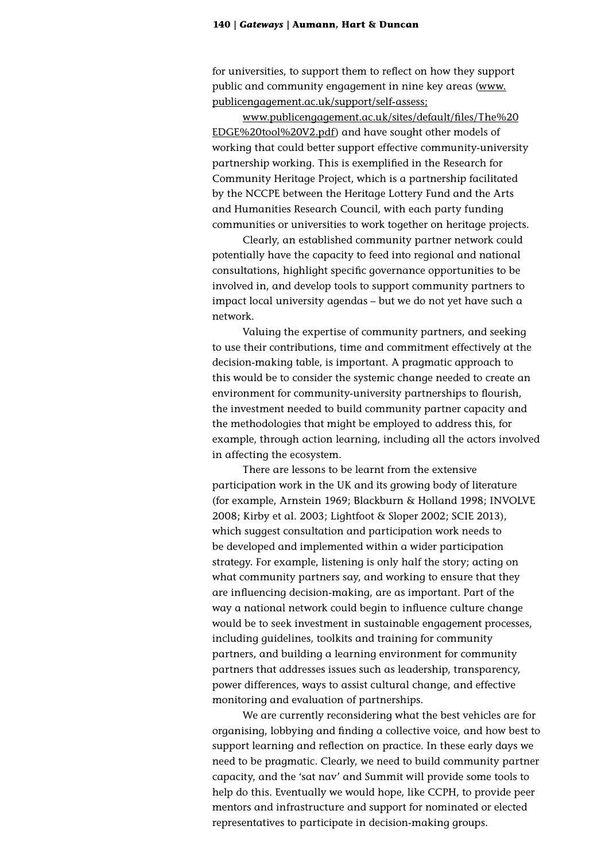for universities, to support them to reflect on how they support public and community engagement in nine key areas [\(www.](http://www.publicengagement.ac.uk/support/self-assess) [publicengagement.ac.uk/support/self-assess](http://www.publicengagement.ac.uk/support/self-assess);

[www.publicengagement.ac.uk/sites/default/files/The%20](http://www.publicengagement.ac.uk/sites/default/files/The%20EDGE%20tool%20V2.pdf) [EDGE%20tool%20V2.pdf\)](http://www.publicengagement.ac.uk/sites/default/files/The%20EDGE%20tool%20V2.pdf) and have sought other models of working that could better support effective community-university partnership working. This is exemplified in the Research for Community Heritage Project, which is a partnership facilitated by the NCCPE between the Heritage Lottery Fund and the Arts and Humanities Research Council, with each party funding communities or universities to work together on heritage projects.

Clearly, an established community partner network could potentially have the capacity to feed into regional and national consultations, highlight specific governance opportunities to be involved in, and develop tools to support community partners to impact local university agendas – but we do not yet have such a network.

Valuing the expertise of community partners, and seeking to use their contributions, time and commitment effectively at the decision-making table, is important. A pragmatic approach to this would be to consider the systemic change needed to create an environment for community-university partnerships to flourish, the investment needed to build community partner capacity and the methodologies that might be employed to address this, for example, through action learning, including all the actors involved in affecting the ecosystem.

There are lessons to be learnt from the extensive participation work in the UK and its growing body of literature (for example, Arnstein 1969; Blackburn & Holland 1998; INVOLVE 2008; Kirby et al. 2003; Lightfoot & Sloper 2002; SCIE 2013), which suggest consultation and participation work needs to be developed and implemented within a wider participation strategy. For example, listening is only half the story; acting on what community partners say, and working to ensure that they are influencing decision-making, are as important. Part of the way a national network could begin to influence culture change would be to seek investment in sustainable engagement processes, including guidelines, toolkits and training for community partners, and building a learning environment for community partners that addresses issues such as leadership, transparency, power differences, ways to assist cultural change, and effective monitoring and evaluation of partnerships.

We are currently reconsidering what the best vehicles are for organising, lobbying and finding a collective voice, and how best to support learning and reflection on practice. In these early days we need to be pragmatic. Clearly, we need to build community partner capacity, and the 'sat nav' and Summit will provide some tools to help do this. Eventually we would hope, like CCPH, to provide peer mentors and infrastructure and support for nominated or elected representatives to participate in decision-making groups.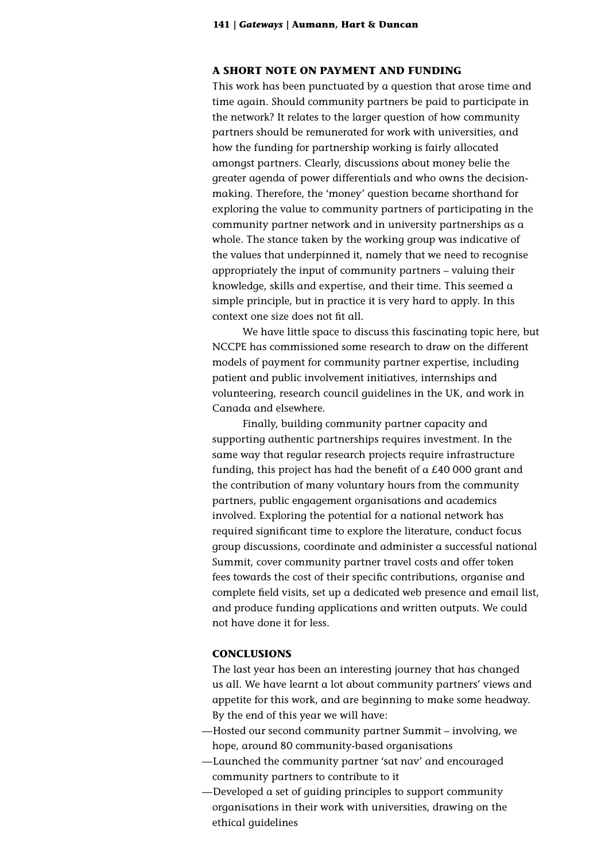# **A SHORT NOTE ON PAYMENT AND FUNDING**

This work has been punctuated by a question that arose time and time again. Should community partners be paid to participate in the network? It relates to the larger question of how community partners should be remunerated for work with universities, and how the funding for partnership working is fairly allocated amongst partners. Clearly, discussions about money belie the greater agenda of power differentials and who owns the decisionmaking. Therefore, the 'money' question became shorthand for exploring the value to community partners of participating in the community partner network and in university partnerships as a whole. The stance taken by the working group was indicative of the values that underpinned it, namely that we need to recognise appropriately the input of community partners – valuing their knowledge, skills and expertise, and their time. This seemed a simple principle, but in practice it is very hard to apply. In this context one size does not fit all.

We have little space to discuss this fascinating topic here, but NCCPE has commissioned some research to draw on the different models of payment for community partner expertise, including patient and public involvement initiatives, internships and volunteering, research council guidelines in the UK, and work in Canada and elsewhere.

Finally, building community partner capacity and supporting authentic partnerships requires investment. In the same way that regular research projects require infrastructure funding, this project has had the benefit of a £40 000 grant and the contribution of many voluntary hours from the community partners, public engagement organisations and academics involved. Exploring the potential for a national network has required significant time to explore the literature, conduct focus group discussions, coordinate and administer a successful national Summit, cover community partner travel costs and offer token fees towards the cost of their specific contributions, organise and complete field visits, set up a dedicated web presence and email list, and produce funding applications and written outputs. We could not have done it for less.

# **CONCLUSIONS**

The last year has been an interesting journey that has changed us all. We have learnt a lot about community partners' views and appetite for this work, and are beginning to make some headway. By the end of this year we will have:

- —Hosted our second community partner Summit involving, we hope, around 80 community-based organisations
- —Launched the community partner 'sat nav' and encouraged community partners to contribute to it
- —Developed a set of guiding principles to support community organisations in their work with universities, drawing on the ethical guidelines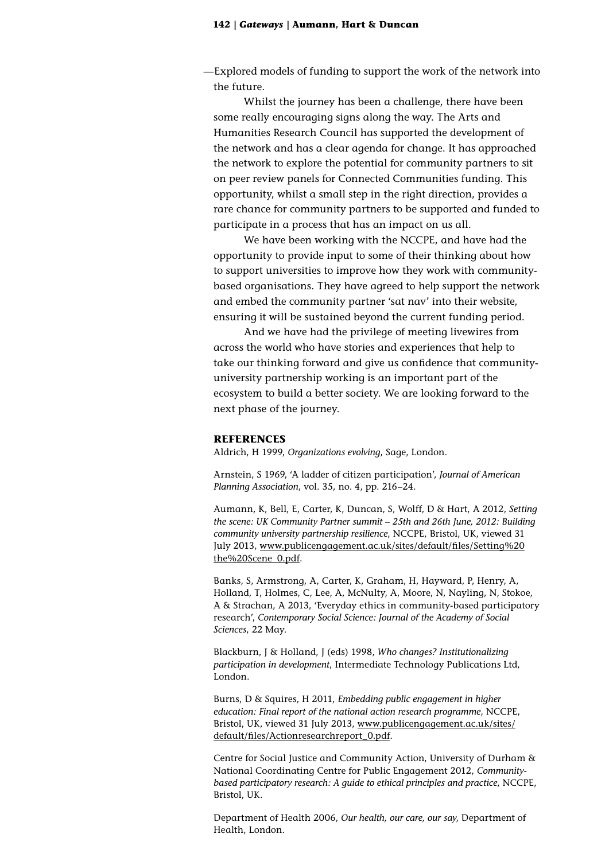—Explored models of funding to support the work of the network into the future.

Whilst the journey has been a challenge, there have been some really encouraging signs along the way. The Arts and Humanities Research Council has supported the development of the network and has a clear agenda for change. It has approached the network to explore the potential for community partners to sit on peer review panels for Connected Communities funding. This opportunity, whilst a small step in the right direction, provides a rare chance for community partners to be supported and funded to participate in a process that has an impact on us all.

We have been working with the NCCPE, and have had the opportunity to provide input to some of their thinking about how to support universities to improve how they work with communitybased organisations. They have agreed to help support the network and embed the community partner 'sat nav' into their website, ensuring it will be sustained beyond the current funding period.

And we have had the privilege of meeting livewires from across the world who have stories and experiences that help to take our thinking forward and give us confidence that communityuniversity partnership working is an important part of the ecosystem to build a better society. We are looking forward to the next phase of the journey.

#### **REFERENCES**

Aldrich, H 1999, *Organizations evolving*, Sage, London.

Arnstein, S 1969, 'A ladder of citizen participation', *Journal of American Planning Association*, vol. 35, no. 4, pp. 216–24.

Aumann, K, Bell, E, Carter, K, Duncan, S, Wolff, D & Hart, A 2012, *Setting the scene: UK Community Partner summit – 25th and 26th June, 2012: Building community university partnership resilience*, NCCPE, Bristol, UK, viewed 31 July 2013, [www.publicengagement.ac.uk/sites/default/files/Setting%20](http://www.publicengagement.ac.uk/sites/default/files/Setting%20the%20Scene_0.pdf) [the%20Scene\\_0.pdf](http://www.publicengagement.ac.uk/sites/default/files/Setting%20the%20Scene_0.pdf).

Banks, S, Armstrong, A, Carter, K, Graham, H, Hayward, P, Henry, A, Holland, T, Holmes, C, Lee, A, McNulty, A, Moore, N, Nayling, N, Stokoe, A & Strachan, A 2013, 'Everyday ethics in community-based participatory research', *Contemporary Social Science: Journal of the Academy of Social Sciences*, 22 May.

Blackburn, J & Holland, J (eds) 1998, *Who changes? Institutionalizing participation in development*, Intermediate Technology Publications Ltd, London.

Burns, D & Squires, H 2011, *Embedding public engagement in higher education: Final report of the national action research programme*, NCCPE, Bristol, UK, viewed 31 July 2013, [www.publicengagement.ac.uk/sites/](http://www.publicengagement.ac.uk/sites/default/files/Action%20research%20report_0.pdf) [default/files/Actionresearchreport\\_0.pdf](http://www.publicengagement.ac.uk/sites/default/files/Action%20research%20report_0.pdf).

Centre for Social Justice and Community Action, University of Durham & National Coordinating Centre for Public Engagement 2012, *Communitybased participatory research: A guide to ethical principles and practice*, NCCPE, Bristol, UK.

Department of Health 2006, *Our health, our care, our say*, Department of Health, London.